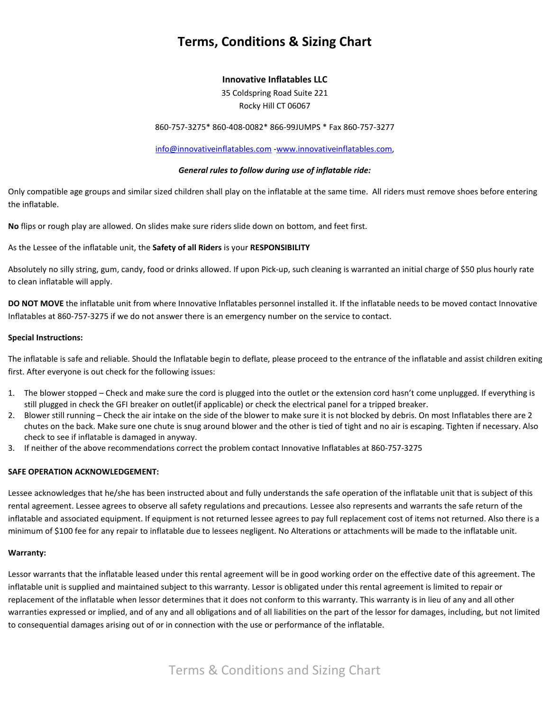# **Terms, Conditions & Sizing Chart**

## **Innovative Inflatables LLC**

35 Coldspring Road Suite 221 Rocky Hill CT 06067

860-757-3275\* 860-408-0082\* 866-99JUMPS \* Fax 860-757-3277

[info@innovativeinflatables.com](mailto:info@innovativeinflatables.com) [-www.innovativeinflatables.com,](http://www.innovativeinflatables.com/)

### *General rules to follow during use of inflatable ride:*

Only compatible age groups and similar sized children shall play on the inflatable at the same time. All riders must remove shoes before entering the inflatable.

**No** flips or rough play are allowed. On slides make sure riders slide down on bottom, and feet first.

As the Lessee of the inflatable unit, the **Safety of all Riders** is your **RESPONSIBILITY**

Absolutely no silly string, gum, candy, food or drinks allowed. If upon Pick-up, such cleaning is warranted an initial charge of \$50 plus hourly rate to clean inflatable will apply.

**DO NOT MOVE** the inflatable unit from where Innovative Inflatables personnel installed it. If the inflatable needs to be moved contact Innovative Inflatables at 860-757-3275 if we do not answer there is an emergency number on the service to contact.

#### **Special Instructions:**

The inflatable is safe and reliable. Should the Inflatable begin to deflate, please proceed to the entrance of the inflatable and assist children exiting first. After everyone is out check for the following issues:

- 1. The blower stopped Check and make sure the cord is plugged into the outlet or the extension cord hasn't come unplugged. If everything is still plugged in check the GFI breaker on outlet(if applicable) or check the electrical panel for a tripped breaker.
- 2. Blower still running Check the air intake on the side of the blower to make sure it is not blocked by debris. On most Inflatables there are 2 chutes on the back. Make sure one chute is snug around blower and the other is tied of tight and no air is escaping. Tighten if necessary. Also check to see if inflatable is damaged in anyway.
- 3. If neither of the above recommendations correct the problem contact Innovative Inflatables at 860-757-3275

## **SAFE OPERATION ACKNOWLEDGEMENT:**

Lessee acknowledges that he/she has been instructed about and fully understands the safe operation of the inflatable unit that is subject of this rental agreement. Lessee agrees to observe all safety regulations and precautions. Lessee also represents and warrants the safe return of the inflatable and associated equipment. If equipment is not returned lessee agrees to pay full replacement cost of items not returned. Also there is a minimum of \$100 fee for any repair to inflatable due to lessees negligent. No Alterations or attachments will be made to the inflatable unit.

#### **Warranty:**

Lessor warrants that the inflatable leased under this rental agreement will be in good working order on the effective date of this agreement. The inflatable unit is supplied and maintained subject to this warranty. Lessor is obligated under this rental agreement is limited to repair or replacement of the inflatable when lessor determines that it does not conform to this warranty. This warranty is in lieu of any and all other warranties expressed or implied, and of any and all obligations and of all liabilities on the part of the lessor for damages, including, but not limited to consequential damages arising out of or in connection with the use or performance of the inflatable.